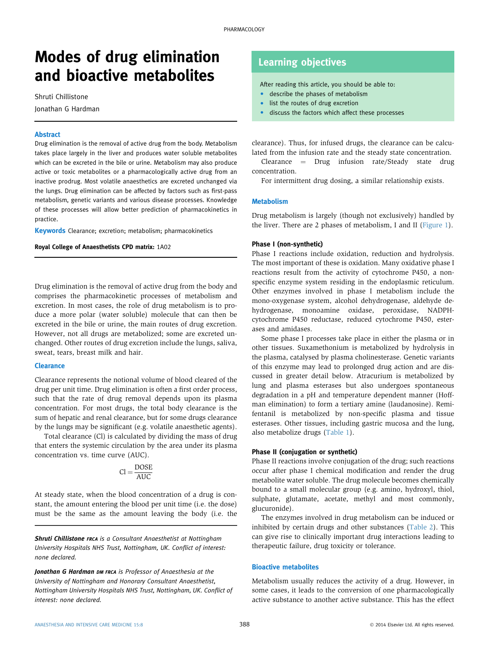# Modes of drug elimination and bioactive metabolites

Shruti Chillistone

Jonathan G Hardman

### Abstract

Drug elimination is the removal of active drug from the body. Metabolism takes place largely in the liver and produces water soluble metabolites which can be excreted in the bile or urine. Metabolism may also produce active or toxic metabolites or a pharmacologically active drug from an inactive prodrug. Most volatile anaesthetics are excreted unchanged via the lungs. Drug elimination can be affected by factors such as first-pass metabolism, genetic variants and various disease processes. Knowledge of these processes will allow better prediction of pharmacokinetics in practice.

Keywords Clearance; excretion; metabolism; pharmacokinetics

Royal College of Anaesthetists CPD matrix: 1A02

Drug elimination is the removal of active drug from the body and comprises the pharmacokinetic processes of metabolism and excretion. In most cases, the role of drug metabolism is to produce a more polar (water soluble) molecule that can then be excreted in the bile or urine, the main routes of drug excretion. However, not all drugs are metabolized; some are excreted unchanged. Other routes of drug excretion include the lungs, saliva, sweat, tears, breast milk and hair.

# **Clearance**

Clearance represents the notional volume of blood cleared of the drug per unit time. Drug elimination is often a first order process, such that the rate of drug removal depends upon its plasma concentration. For most drugs, the total body clearance is the sum of hepatic and renal clearance, but for some drugs clearance by the lungs may be significant (e.g. volatile anaesthetic agents).

Total clearance (Cl) is calculated by dividing the mass of drug that enters the systemic circulation by the area under its plasma concentration vs. time curve (AUC).

$$
Cl = \frac{DOSE}{AUC}
$$

At steady state, when the blood concentration of a drug is constant, the amount entering the blood per unit time (i.e. the dose) must be the same as the amount leaving the body (i.e. the

**Shruti Chillistone FRCA** is a Consultant Anaesthetist at Nottingham University Hospitals NHS Trust, Nottingham, UK. Conflict of interest: none declared.

Jonathan G Hardman DM FRCA is Professor of Anaesthesia at the University of Nottingham and Honorary Consultant Anaesthetist, Nottingham University Hospitals NHS Trust, Nottingham, UK. Conflict of interest: none declared.

# Learning objectives

After reading this article, you should be able to:

- $\bullet$  describe the phases of metabolism
- list the routes of drug excretion
- discuss the factors which affect these processes

clearance). Thus, for infused drugs, the clearance can be calculated from the infusion rate and the steady state concentration.

 $Clearance = Drug$  infusion rate/Steady state drug concentration.

For intermittent drug dosing, a similar relationship exists.

# Metabolism

Drug metabolism is largely (though not exclusively) handled by the liver. There are 2 phases of metabolism, I and II ([Figure 1](#page-1-0)).

# Phase I (non-synthetic)

Phase I reactions include oxidation, reduction and hydrolysis. The most important of these is oxidation. Many oxidative phase I reactions result from the activity of cytochrome P450, a nonspecific enzyme system residing in the endoplasmic reticulum. Other enzymes involved in phase I metabolism include the mono-oxygenase system, alcohol dehydrogenase, aldehyde dehydrogenase, monoamine oxidase, peroxidase, NADPHcytochrome P450 reductase, reduced cytochrome P450, esterases and amidases.

Some phase I processes take place in either the plasma or in other tissues. Suxamethonium is metabolized by hydrolysis in the plasma, catalysed by plasma cholinesterase. Genetic variants of this enzyme may lead to prolonged drug action and are discussed in greater detail below. Atracurium is metabolized by lung and plasma esterases but also undergoes spontaneous degradation in a pH and temperature dependent manner (Hoffman elimination) to form a tertiary amine (laudanosine). Remifentanil is metabolized by non-specific plasma and tissue esterases. Other tissues, including gastric mucosa and the lung, also metabolize drugs [\(Table 1](#page-1-0)).

# Phase II (conjugation or synthetic)

Phase II reactions involve conjugation of the drug; such reactions occur after phase I chemical modification and render the drug metabolite water soluble. The drug molecule becomes chemically bound to a small molecular group (e.g. amino, hydroxyl, thiol, sulphate, glutamate, acetate, methyl and most commonly, glucuronide).

The enzymes involved in drug metabolism can be induced or inhibited by certain drugs and other substances ([Table 2\)](#page-1-0). This can give rise to clinically important drug interactions leading to therapeutic failure, drug toxicity or tolerance.

# Bioactive metabolites

Metabolism usually reduces the activity of a drug. However, in some cases, it leads to the conversion of one pharmacologically active substance to another active substance. This has the effect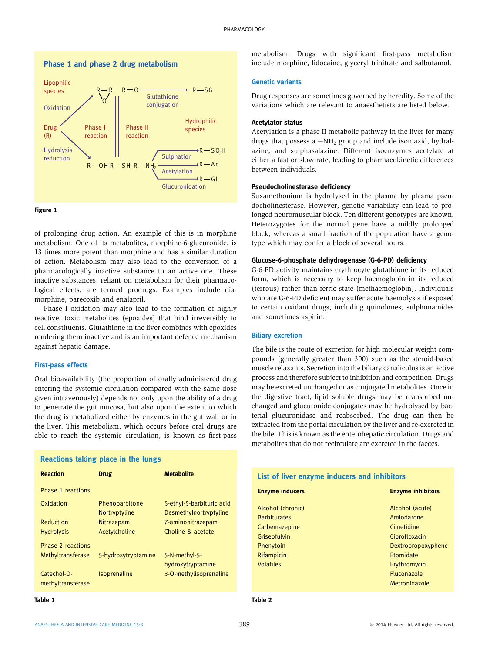<span id="page-1-0"></span>

## Figure 1

of prolonging drug action. An example of this is in morphine metabolism. One of its metabolites, morphine-6-glucuronide, is 13 times more potent than morphine and has a similar duration of action. Metabolism may also lead to the conversion of a pharmacologically inactive substance to an active one. These inactive substances, reliant on metabolism for their pharmacological effects, are termed prodrugs. Examples include diamorphine, parecoxib and enalapril.

Phase I oxidation may also lead to the formation of highly reactive, toxic metabolites (epoxides) that bind irreversibly to cell constituents. Glutathione in the liver combines with epoxides rendering them inactive and is an important defence mechanism against hepatic damage.

# First-pass effects

Oral bioavailability (the proportion of orally administered drug entering the systemic circulation compared with the same dose given intravenously) depends not only upon the ability of a drug to penetrate the gut mucosa, but also upon the extent to which the drug is metabolized either by enzymes in the gut wall or in the liver. This metabolism, which occurs before oral drugs are able to reach the systemic circulation, is known as first-pass

# Reactions taking place in the lungs

| <b>Reaction</b>                  | <b>Drug</b>                     | <b>Metabolite</b>                                   |
|----------------------------------|---------------------------------|-----------------------------------------------------|
| <b>Phase 1 reactions</b>         |                                 |                                                     |
| Oxidation                        | Phenobarbitone<br>Nortryptyline | 5-ethyl-5-barbituric acid<br>Desmethylnortryptyline |
| Reduction                        | Nitrazepam                      | 7-aminonitrazepam                                   |
| <b>Hydrolysis</b>                | Acetylcholine                   | Choline & acetate                                   |
| <b>Phase 2 reactions</b>         |                                 |                                                     |
| Methyltransferase                | 5-hydroxytryptamine             | 5-N-methyl-5-<br>hydroxytryptamine                  |
| Catechol-O-<br>methyltransferase | <b>Isoprenaline</b>             | 3-O-methylisoprenaline                              |

metabolism. Drugs with significant first-pass metabolism include morphine, lidocaine, glyceryl trinitrate and salbutamol.

# Genetic variants

Drug responses are sometimes governed by heredity. Some of the variations which are relevant to anaesthetists are listed below.

# Acetylator status

Acetylation is a phase II metabolic pathway in the liver for many drugs that possess a  $-NH<sub>2</sub>$  group and include isoniazid, hydralazine, and sulphasalazine. Different isoenzymes acetylate at either a fast or slow rate, leading to pharmacokinetic differences between individuals.

# Pseudocholinesterase deficiency

Suxamethonium is hydrolysed in the plasma by plasma pseudocholinesterase. However, genetic variability can lead to prolonged neuromuscular block. Ten different genotypes are known. Heterozygotes for the normal gene have a mildly prolonged block, whereas a small fraction of the population have a genotype which may confer a block of several hours.

# Glucose-6-phosphate dehydrogenase (G-6-PD) deficiency

G-6-PD activity maintains erythrocyte glutathione in its reduced form, which is necessary to keep haemoglobin in its reduced (ferrous) rather than ferric state (methaemoglobin). Individuals who are G-6-PD deficient may suffer acute haemolysis if exposed to certain oxidant drugs, including quinolones, sulphonamides and sometimes aspirin.

### Biliary excretion

The bile is the route of excretion for high molecular weight compounds (generally greater than 300) such as the steroid-based muscle relaxants. Secretion into the biliary canaliculus is an active process and therefore subject to inhibition and competition. Drugs may be excreted unchanged or as conjugated metabolites. Once in the digestive tract, lipid soluble drugs may be reabsorbed unchanged and glucuronide conjugates may be hydrolysed by bacterial glucuronidase and reabsorbed. The drug can then be extracted from the portal circulation by the liver and re-excreted in the bile. This is known as the enterohepatic circulation. Drugs and metabolites that do not recirculate are excreted in the faeces.

| List of liver enzyme inducers and inhibitors |                          |  |
|----------------------------------------------|--------------------------|--|
| <b>Enzyme inducers</b>                       | <b>Enzyme inhibitors</b> |  |
| Alcohol (chronic)                            | Alcohol (acute)          |  |
| <b>Barbiturates</b>                          | Amiodarone               |  |
| Carbemazepine                                | Cimetidine               |  |
| Griseofulvin                                 | Ciprofloxacin            |  |
| Phenytoin                                    | Dextropropoxyphene       |  |
| Rifampicin                                   | <b>Ftomidate</b>         |  |
| <b>Volatiles</b>                             | Erythromycin             |  |
|                                              | <b>Fluconazole</b>       |  |
|                                              | Metronidazole            |  |
|                                              |                          |  |



Table 1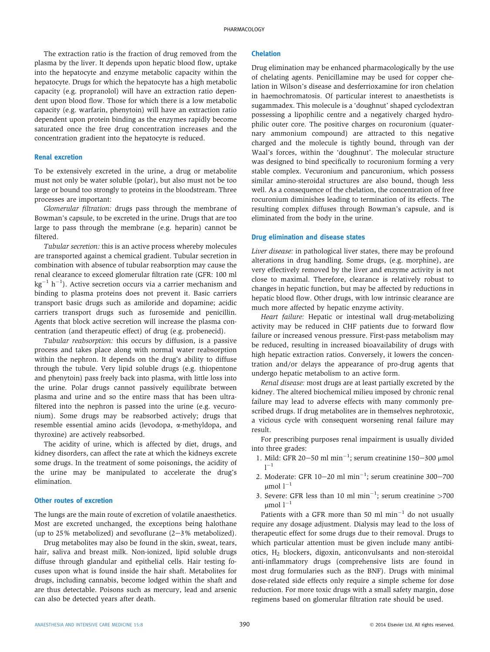The extraction ratio is the fraction of drug removed from the plasma by the liver. It depends upon hepatic blood flow, uptake into the hepatocyte and enzyme metabolic capacity within the hepatocyte. Drugs for which the hepatocyte has a high metabolic capacity (e.g. propranolol) will have an extraction ratio dependent upon blood flow. Those for which there is a low metabolic capacity (e.g. warfarin, phenytoin) will have an extraction ratio dependent upon protein binding as the enzymes rapidly become saturated once the free drug concentration increases and the concentration gradient into the hepatocyte is reduced.

# Renal excretion

To be extensively excreted in the urine, a drug or metabolite must not only be water soluble (polar), but also must not be too large or bound too strongly to proteins in the bloodstream. Three processes are important:

Glomerular filtration: drugs pass through the membrane of Bowman's capsule, to be excreted in the urine. Drugs that are too large to pass through the membrane (e.g. heparin) cannot be filtered.

Tubular secretion: this is an active process whereby molecules are transported against a chemical gradient. Tubular secretion in combination with absence of tubular reabsorption may cause the renal clearance to exceed glomerular filtration rate (GFR: 100 ml  $\text{kg}^{-1}$  h $^{-1}$ ). Active secretion occurs via a carrier mechanism and binding to plasma proteins does not prevent it. Basic carriers transport basic drugs such as amiloride and dopamine; acidic carriers transport drugs such as furosemide and penicillin. Agents that block active secretion will increase the plasma concentration (and therapeutic effect) of drug (e.g. probenecid).

Tubular reabsorption: this occurs by diffusion, is a passive process and takes place along with normal water reabsorption within the nephron. It depends on the drug's ability to diffuse through the tubule. Very lipid soluble drugs (e.g. thiopentone and phenytoin) pass freely back into plasma, with little loss into the urine. Polar drugs cannot passively equilibrate between plasma and urine and so the entire mass that has been ultrafiltered into the nephron is passed into the urine (e.g. vecuronium). Some drugs may be reabsorbed actively; drugs that resemble essential amino acids (levodopa, a-methyldopa, and thyroxine) are actively reabsorbed.

The acidity of urine, which is affected by diet, drugs, and kidney disorders, can affect the rate at which the kidneys excrete some drugs. In the treatment of some poisonings, the acidity of the urine may be manipulated to accelerate the drug's elimination.

## Other routes of excretion

The lungs are the main route of excretion of volatile anaesthetics. Most are excreted unchanged, the exceptions being halothane (up to 25% metabolized) and sevoflurane  $(2-3%$  metabolized).

Drug metabolites may also be found in the skin, sweat, tears, hair, saliva and breast milk. Non-ionized, lipid soluble drugs diffuse through glandular and epithelial cells. Hair testing focuses upon what is found inside the hair shaft. Metabolites for drugs, including cannabis, become lodged within the shaft and are thus detectable. Poisons such as mercury, lead and arsenic can also be detected years after death.

#### Chelation

Drug elimination may be enhanced pharmacologically by the use of chelating agents. Penicillamine may be used for copper chelation in Wilson's disease and desferrioxamine for iron chelation in haemochromatosis. Of particular interest to anaesthetists is sugammadex. This molecule is a 'doughnut' shaped cyclodextran possessing a lipophilic centre and a negatively charged hydrophilic outer core. The positive charges on rocuronium (quaternary ammonium compound) are attracted to this negative charged and the molecule is tightly bound, through van der Waal's forces, within the 'doughnut'. The molecular structure was designed to bind specifically to rocuronium forming a very stable complex. Vecuronium and pancuronium, which possess similar amino-steroidal structures are also bound, though less well. As a consequence of the chelation, the concentration of free rocuronium diminishes leading to termination of its effects. The resulting complex diffuses through Bowman's capsule, and is eliminated from the body in the urine.

## Drug elimination and disease states

Liver disease: in pathological liver states, there may be profound alterations in drug handling. Some drugs, (e.g. morphine), are very effectively removed by the liver and enzyme activity is not close to maximal. Therefore, clearance is relatively robust to changes in hepatic function, but may be affected by reductions in hepatic blood flow. Other drugs, with low intrinsic clearance are much more affected by hepatic enzyme activity.

Heart failure: Hepatic or intestinal wall drug-metabolizing activity may be reduced in CHF patients due to forward flow failure or increased venous pressure. First-pass metabolism may be reduced, resulting in increased bioavailability of drugs with high hepatic extraction ratios. Conversely, it lowers the concentration and/or delays the appearance of pro-drug agents that undergo hepatic metabolism to an active form.

Renal disease: most drugs are at least partially excreted by the kidney. The altered biochemical milieu imposed by chronic renal failure may lead to adverse effects with many commonly prescribed drugs. If drug metabolites are in themselves nephrotoxic, a vicious cycle with consequent worsening renal failure may result.

For prescribing purposes renal impairment is usually divided into three grades:

- 1. Mild: GFR 20-50 ml  $min^{-1}$ ; serum creatinine 150-300 µmol  $1^{-1}$
- 2. Moderate: GFR  $10-20$  ml  $min^{-1}$ ; serum creatinine 300-700  $\mu$ mol  $l^{-1}$
- 3. Severe: GFR less than 10 ml  $min^{-1}$ ; serum creatinine >700  $\mu$ mol  $l^{-1}$

Patients with a GFR more than 50 ml  $min^{-1}$  do not usually require any dosage adjustment. Dialysis may lead to the loss of therapeutic effect for some drugs due to their removal. Drugs to which particular attention must be given include many antibiotics, H2 blockers, digoxin, anticonvulsants and non-steroidal anti-inflammatory drugs (comprehensive lists are found in most drug formularies such as the BNF). Drugs with minimal dose-related side effects only require a simple scheme for dose reduction. For more toxic drugs with a small safety margin, dose regimens based on glomerular filtration rate should be used.